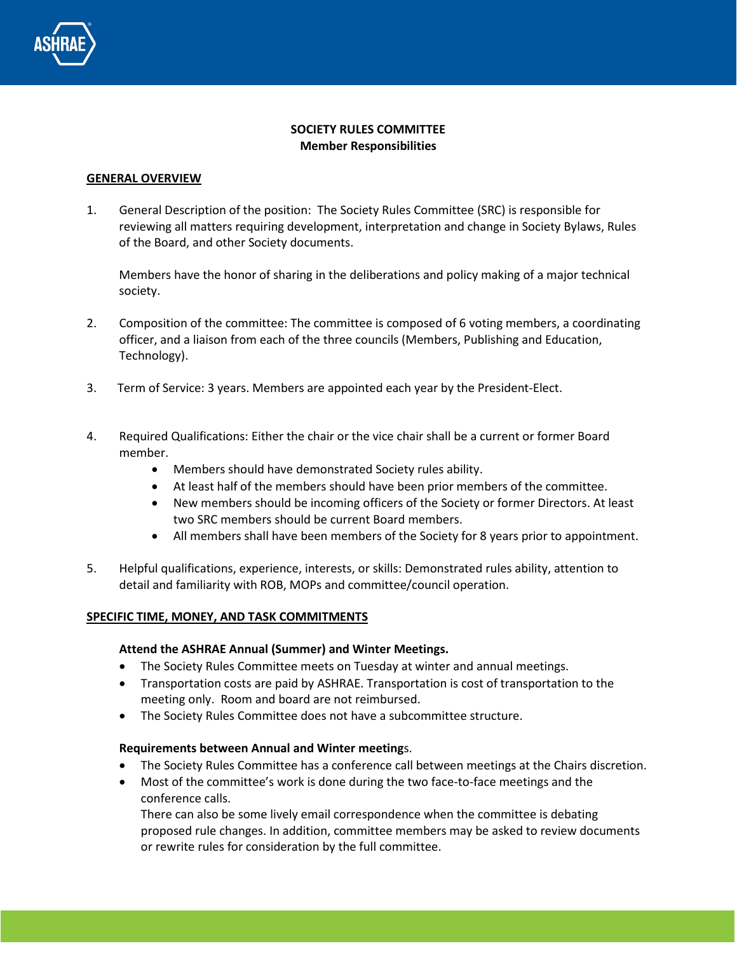

# **SOCIETY RULES COMMITTEE Member Responsibilities**

### **GENERAL OVERVIEW**

1. General Description of the position: The Society Rules Committee (SRC) is responsible for reviewing all matters requiring development, interpretation and change in Society Bylaws, Rules of the Board, and other Society documents.

Members have the honor of sharing in the deliberations and policy making of a major technical society.

- 2. Composition of the committee: The committee is composed of 6 voting members, a coordinating officer, and a liaison from each of the three councils (Members, Publishing and Education, Technology).
- 3. Term of Service: 3 years. Members are appointed each year by the President-Elect.
- 4. Required Qualifications: Either the chair or the vice chair shall be a current or former Board member.
	- Members should have demonstrated Society rules ability.
	- At least half of the members should have been prior members of the committee.
	- New members should be incoming officers of the Society or former Directors. At least two SRC members should be current Board members.
	- All members shall have been members of the Society for 8 years prior to appointment.
- 5. Helpful qualifications, experience, interests, or skills: Demonstrated rules ability, attention to detail and familiarity with ROB, MOPs and committee/council operation.

#### **SPECIFIC TIME, MONEY, AND TASK COMMITMENTS**

#### **Attend the ASHRAE Annual (Summer) and Winter Meetings.**

- The Society Rules Committee meets on Tuesday at winter and annual meetings.
- Transportation costs are paid by ASHRAE. Transportation is cost of transportation to the meeting only. Room and board are not reimbursed.
- The Society Rules Committee does not have a subcommittee structure.

#### **Requirements between Annual and Winter meeting**s.

- The Society Rules Committee has a conference call between meetings at the Chairs discretion.
- Most of the committee's work is done during the two face-to-face meetings and the conference calls.

There can also be some lively email correspondence when the committee is debating proposed rule changes. In addition, committee members may be asked to review documents or rewrite rules for consideration by the full committee.